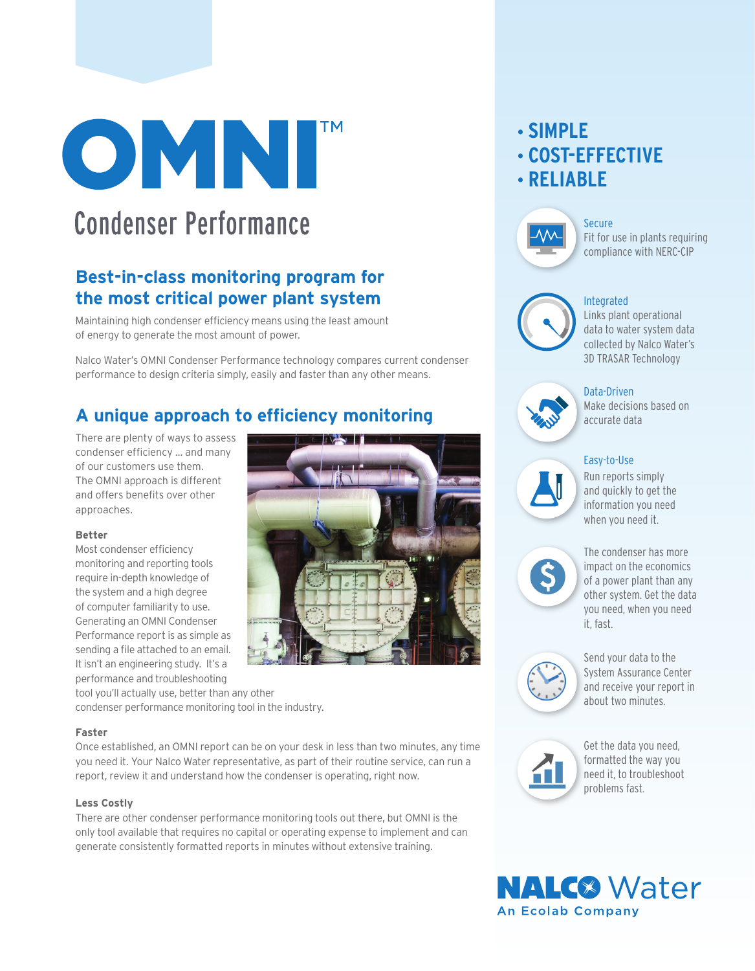

# **Condenser Performance**

### **Best-in-class monitoring program for the most critical power plant system**

Maintaining high condenser efficiency means using the least amount of energy to generate the most amount of power.

Nalco Water's OMNI Condenser Performance technology compares current condenser performance to design criteria simply, easily and faster than any other means.

### **A unique approach to efficiency monitoring**

There are plenty of ways to assess condenser efficiency … and many of our customers use them. The OMNI approach is different and offers benefits over other approaches.

#### **Better**

Most condenser efficiency monitoring and reporting tools require in-depth knowledge of the system and a high degree of computer familiarity to use. Generating an OMNI Condenser Performance report is as simple as sending a file attached to an email. It isn't an engineering study. It's a performance and troubleshooting



tool you'll actually use, better than any other condenser performance monitoring tool in the industry.

#### **Faster**

Once established, an OMNI report can be on your desk in less than two minutes, any time you need it. Your Nalco Water representative, as part of their routine service, can run a report, review it and understand how the condenser is operating, right now.

#### **Less Costly**

There are other condenser performance monitoring tools out there, but OMNI is the only tool available that requires no capital or operating expense to implement and can generate consistently formatted reports in minutes without extensive training.

### **• SIMPLE • COST-EFFECTIVE • RELIABLE**



#### Secure

Fit for use in plants requiring compliance with NERC-CIP



Integrated Links plant operational data to water system data collected by Nalco Water's 3D TRASAR Technology

Data-Driven Make decisions based on accurate data

#### Easy-to-Use



Run reports simply and quickly to get the information you need when you need it.



The condenser has more impact on the economics of a power plant than any other system. Get the data you need, when you need it, fast.



Send your data to the System Assurance Center and receive your report in about two minutes.



Get the data you need, formatted the way you need it, to troubleshoot problems fast.